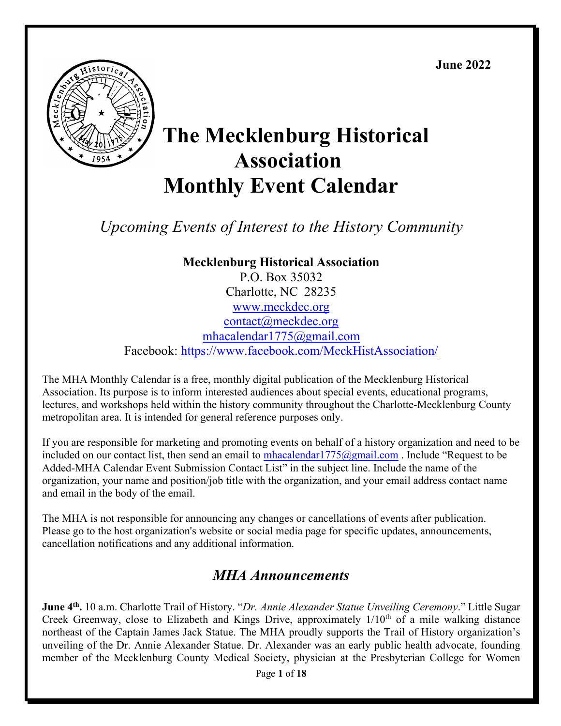**June 2022**



# **The Mecklenburg Historical Association Monthly Event Calendar**

*Upcoming Events of Interest to the History Community*

**Mecklenburg Historical Association** P.O. Box 35032 Charlotte, NC 28235 [www.meckdec.org](http://www.meckdec.org/) [contact@meckdec.org](mailto:contact@meckdec.org) mhacalendar1775@gmail.com Facebook:<https://www.facebook.com/MeckHistAssociation/>

The MHA Monthly Calendar is a free, monthly digital publication of the Mecklenburg Historical Association. Its purpose is to inform interested audiences about special events, educational programs, lectures, and workshops held within the history community throughout the Charlotte-Mecklenburg County metropolitan area. It is intended for general reference purposes only.

If you are responsible for marketing and promoting events on behalf of a history organization and need to be included on our contact list, then send an email to  $\frac{\text{mhacalendar1775}(\partial \text{gmail.com})$ . Include "Request to be Added-MHA Calendar Event Submission Contact List" in the subject line. Include the name of the organization, your name and position/job title with the organization, and your email address contact name and email in the body of the email.

The MHA is not responsible for announcing any changes or cancellations of events after publication. Please go to the host organization's website or social media page for specific updates, announcements, cancellation notifications and any additional information.

# *MHA Announcements*

**June 4th.** 10 a.m. Charlotte Trail of History. "*Dr. Annie Alexander Statue Unveiling Ceremony*." Little Sugar Creek Greenway, close to Elizabeth and Kings Drive, approximately 1/10<sup>th</sup> of a mile walking distance northeast of the Captain James Jack Statue. The MHA proudly supports the Trail of History organization's unveiling of the Dr. Annie Alexander Statue. Dr. Alexander was an early public health advocate, founding member of the Mecklenburg County Medical Society, physician at the Presbyterian College for Women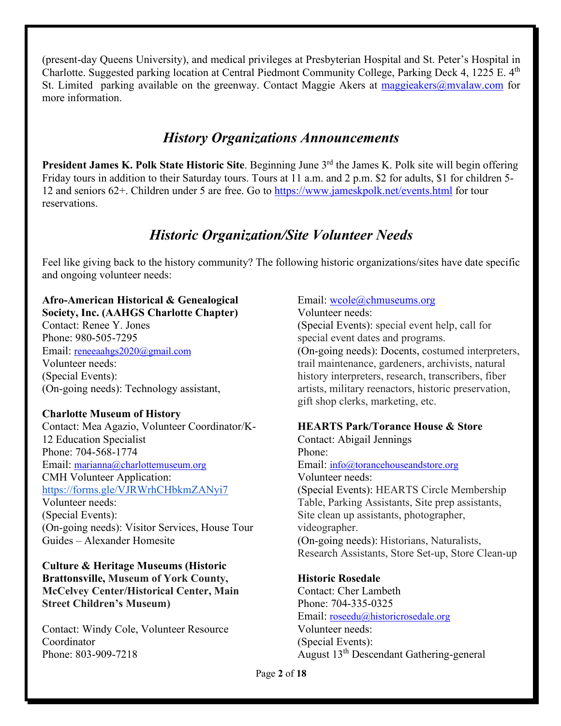(present-day Queens University), and medical privileges at Presbyterian Hospital and St. Peter's Hospital in Charlotte. Suggested parking location at Central Piedmont Community College, Parking Deck 4, 1225 E. 4th St. Limited parking available on the greenway. Contact Maggie Akers at  $\frac{m \cdot n}{n}$  maggieakers (@mvalaw.com for more information.

# *History Organizations Announcements*

President James K. Polk State Historic Site. Beginning June 3<sup>rd</sup> the James K. Polk site will begin offering Friday tours in addition to their Saturday tours. Tours at 11 a.m. and 2 p.m. \$2 for adults, \$1 for children 5- 12 and seniors 62+. Children under 5 are free. Go to<https://www.jameskpolk.net/events.html> for tour reservations.

# *Historic Organization/Site Volunteer Needs*

Feel like giving back to the history community? The following historic organizations/sites have date specific and ongoing volunteer needs:

#### **Afro-American Historical & Genealogical Society, Inc. (AAHGS Charlotte Chapter)**

Contact: Renee Y. Jones Phone: 980-505-7295 Email: [reneeaahgs2020@gmail.com](mailto:reneeaahgs2020@gmail.com) Volunteer needs: (Special Events): (On-going needs): Technology assistant,

# **Charlotte Museum of History**

Contact: Mea Agazio, Volunteer Coordinator/K-12 Education Specialist Phone: 704-568-1774 Email: [marianna@charlottemuseum.org](mailto:marianna@charlottemuseum.org) CMH Volunteer Application: <https://forms.gle/VJRWrhCHbkmZANyi7> Volunteer needs: (Special Events): (On-going needs): Visitor Services, House Tour Guides – Alexander Homesite

**Culture & Heritage Museums (Historic Brattonsville, Museum of York County, McCelvey Center/Historical Center, Main Street Children's Museum)**

Contact: Windy Cole, Volunteer Resource Coordinator Phone: 803-909-7218

# Email: wcole@chmuseums.org

Volunteer needs: (Special Events): special event help, call for special event dates and programs. (On-going needs): Docents, costumed interpreters, trail maintenance, gardeners, archivists, natural history interpreters, research, transcribers, fiber artists, military reenactors, historic preservation, gift shop clerks, marketing, etc.

# **HEARTS Park/Torance House & Store**

Contact: Abigail Jennings Phone: Email: [info@torancehouseandstore.org](mailto:info@torancehouseandstore.org) Volunteer needs: (Special Events): HEARTS Circle Membership Table, Parking Assistants, Site prep assistants, Site clean up assistants, photographer, videographer. (On-going needs): Historians, Naturalists, Research Assistants, Store Set-up, Store Clean-up

# **Historic Rosedale**

Contact: Cher Lambeth Phone: 704-335-0325 Email: [roseedu@historicrosedale.org](mailto:roseedu@historicrosedale.org) Volunteer needs: (Special Events): August 13th Descendant Gathering-general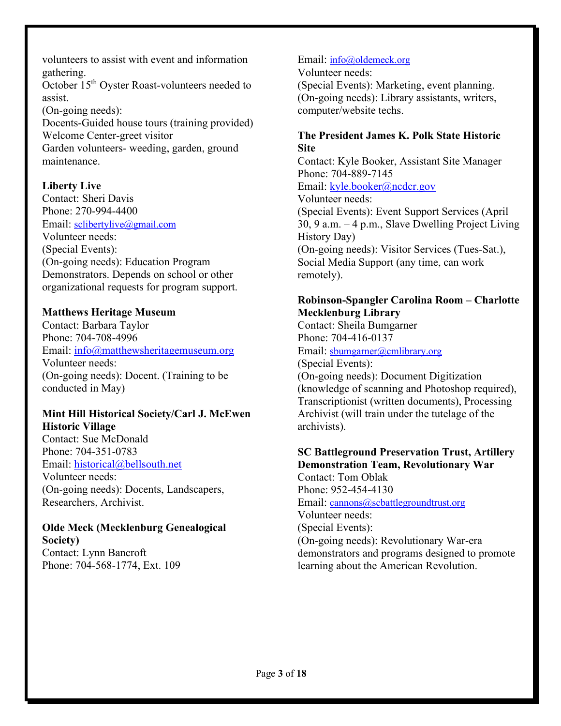volunteers to assist with event and information gathering.

October 15th Oyster Roast-volunteers needed to assist.

(On-going needs): Docents-Guided house tours (training provided) Welcome Center-greet visitor Garden volunteers- weeding, garden, ground maintenance.

# **Liberty Live**

Contact: Sheri Davis Phone: 270-994-4400 Email: [sclibertylive@gmail.com](mailto:sclibertylive@gmail.com) Volunteer needs: (Special Events): (On-going needs): Education Program Demonstrators. Depends on school or other organizational requests for program support.

# **Matthews Heritage Museum**

Contact: Barbara Taylor Phone: 704-708-4996 Email: [info@matthewsheritagemuseum.org](mailto:info@matthewsheritagemuseum.org)  Volunteer needs: (On-going needs): Docent. (Training to be conducted in May)

# **Mint Hill Historical Society/Carl J. McEwen Historic Village**

Contact: Sue McDonald Phone: 704-351-0783 Email: [historical@bellsouth.net](mailto:historical@bellsouth.net)  Volunteer needs: (On-going needs): Docents, Landscapers, Researchers, Archivist.

### **Olde Meck (Mecklenburg Genealogical Society)** Contact: Lynn Bancroft Phone: 704-568-1774, Ext. 109

## Email: [info@oldemeck.org](mailto:info@oldemeck.org)

Volunteer needs:

(Special Events): Marketing, event planning. (On-going needs): Library assistants, writers, computer/website techs.

# **The President James K. Polk State Historic Site**

Contact: Kyle Booker, Assistant Site Manager Phone: 704-889-7145 Email: [kyle.booker@ncdcr.gov](mailto:kyle.booker@ncdcr.gov)  Volunteer needs: (Special Events): Event Support Services (April 30, 9 a.m. – 4 p.m., Slave Dwelling Project Living History Day) (On-going needs): Visitor Services (Tues-Sat.), Social Media Support (any time, can work remotely).

# **Robinson-Spangler Carolina Room – Charlotte Mecklenburg Library**

Contact: Sheila Bumgarner Phone: 704-416-0137 Email: [sbumgarner@cmlibrary.org](mailto:sbumgarner@cmlibrary.org) (Special Events): (On-going needs): Document Digitization (knowledge of scanning and Photoshop required), Transcriptionist (written documents), Processing Archivist (will train under the tutelage of the archivists).

### **SC Battleground Preservation Trust, Artillery Demonstration Team, Revolutionary War**

Contact: Tom Oblak Phone: 952-454-4130 Email: [cannons@scbattlegroundtrust.org](mailto:cannons@scbattlegroundtrust.org) Volunteer needs: (Special Events): (On-going needs): Revolutionary War-era demonstrators and programs designed to promote learning about the American Revolution.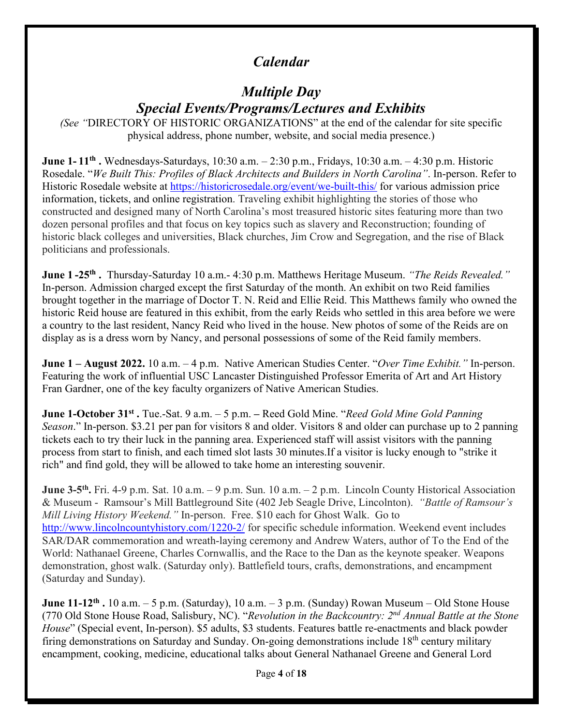# *Calendar*

# *Multiple Day Special Events/Programs/Lectures and Exhibits*

*(See "*DIRECTORY OF HISTORIC ORGANIZATIONS" at the end of the calendar for site specific physical address, phone number, website, and social media presence.)

**June 1- 11th .** Wednesdays-Saturdays, 10:30 a.m. – 2:30 p.m., Fridays, 10:30 a.m. – 4:30 p.m. Historic Rosedale. "*We Built This: Profiles of Black Architects and Builders in North Carolina"*. In-person. Refer to Historic Rosedale website at<https://historicrosedale.org/event/we-built-this/>for various admission price information, tickets, and online registration. Traveling exhibit highlighting the stories of those who constructed and designed many of North Carolina's most treasured historic sites featuring more than two dozen personal profiles and that focus on key topics such as slavery and Reconstruction; founding of historic black colleges and universities, Black churches, Jim Crow and Segregation, and the rise of Black politicians and professionals.

**June 1 -25th .** Thursday-Saturday 10 a.m.- 4:30 p.m. Matthews Heritage Museum. *"The Reids Revealed."* In-person. Admission charged except the first Saturday of the month. An exhibit on two Reid families brought together in the marriage of Doctor T. N. Reid and Ellie Reid. This Matthews family who owned the historic Reid house are featured in this exhibit, from the early Reids who settled in this area before we were a country to the last resident, Nancy Reid who lived in the house. New photos of some of the Reids are on display as is a dress worn by Nancy, and personal possessions of some of the Reid family members.

**June 1 – August 2022.** 10 a.m. – 4 p.m. Native American Studies Center. "*Over Time Exhibit."* In-person. Featuring the work of influential USC Lancaster Distinguished Professor Emerita of Art and Art History Fran Gardner, one of the key faculty organizers of Native American Studies.

**June 1-October 31st .** Tue.-Sat. 9 a.m. – 5 p.m. **–** Reed Gold Mine. "*Reed Gold Mine Gold Panning Season*." In-person. \$3.21 per pan for visitors 8 and older. Visitors 8 and older can purchase up to 2 panning tickets each to try their luck in the panning area. Experienced staff will assist visitors with the panning process from start to finish, and each timed slot lasts 30 minutes.If a visitor is lucky enough to "strike it rich" and find gold, they will be allowed to take home an interesting souvenir.

**June 3-5th.** Fri. 4-9 p.m. Sat. 10 a.m. – 9 p.m. Sun. 10 a.m. – 2 p.m. Lincoln County Historical Association & Museum - Ramsour's Mill Battleground Site (402 Jeb Seagle Drive, Lincolnton). *"Battle of Ramsour's Mill Living History Weekend."* In-person. Free. \$10 each for Ghost Walk. Go to <http://www.lincolncountyhistory.com/1220-2/> for specific schedule information. Weekend event includes SAR/DAR commemoration and wreath-laying ceremony and Andrew Waters, author of To the End of the World: Nathanael Greene, Charles Cornwallis, and the Race to the Dan as the keynote speaker. Weapons demonstration, ghost walk. (Saturday only). Battlefield tours, crafts, demonstrations, and encampment (Saturday and Sunday).

**June 11-12th .** 10 a.m. – 5 p.m. (Saturday), 10 a.m. – 3 p.m. (Sunday) Rowan Museum – Old Stone House (770 Old Stone House Road, Salisbury, NC). "*Revolution in the Backcountry: 2nd Annual Battle at the Stone House*" (Special event, In-person). \$5 adults, \$3 students. Features battle re-enactments and black powder firing demonstrations on Saturday and Sunday. On-going demonstrations include 18<sup>th</sup> century military encampment, cooking, medicine, educational talks about General Nathanael Greene and General Lord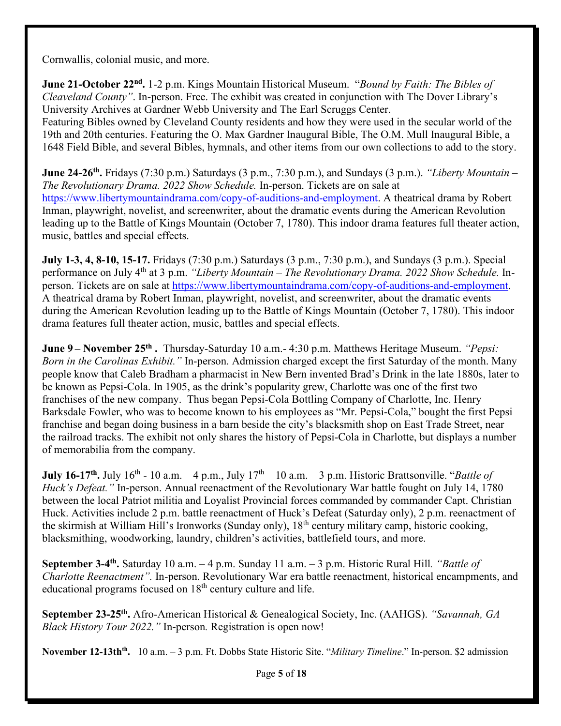Cornwallis, colonial music, and more.

**June 21-October 22nd.** 1-2 p.m. Kings Mountain Historical Museum. "*Bound by Faith: The Bibles of Cleaveland County"*. In-person. Free. The exhibit was created in conjunction with The Dover Library's University Archives at Gardner Webb University and The Earl Scruggs Center.

Featuring Bibles owned by Cleveland County residents and how they were used in the secular world of the 19th and 20th centuries. Featuring the O. Max Gardner Inaugural Bible, The O.M. Mull Inaugural Bible, a 1648 Field Bible, and several Bibles, hymnals, and other items from our own collections to add to the story.

**June 24-26th.** Fridays (7:30 p.m.) Saturdays (3 p.m., 7:30 p.m.), and Sundays (3 p.m.). *"Liberty Mountain – The Revolutionary Drama. 2022 Show Schedule.* In-person. Tickets are on sale at [https://www.libertymountaindrama.com/copy-of-auditions-and-employment.](https://www.libertymountaindrama.com/copy-of-auditions-and-employment) A theatrical drama by Robert Inman, playwright, novelist, and screenwriter, about the dramatic events during the American Revolution leading up to the Battle of Kings Mountain (October 7, 1780). This indoor drama features full theater action, music, battles and special effects.

**July 1-3, 4, 8-10, 15-17.** Fridays (7:30 p.m.) Saturdays (3 p.m., 7:30 p.m.), and Sundays (3 p.m.). Special performance on July 4th at 3 p.m. *"Liberty Mountain – The Revolutionary Drama. 2022 Show Schedule.* Inperson. Tickets are on sale at [https://www.libertymountaindrama.com/copy-of-auditions-and-employment.](https://www.libertymountaindrama.com/copy-of-auditions-and-employment) A theatrical drama by Robert Inman, playwright, novelist, and screenwriter, about the dramatic events during the American Revolution leading up to the Battle of Kings Mountain (October 7, 1780). This indoor drama features full theater action, music, battles and special effects.

**June 9– November 25<sup>th</sup>.** Thursday-Saturday 10 a.m. 4:30 p.m. Matthews Heritage Museum. *"Pepsi: Born in the Carolinas Exhibit."* In-person. Admission charged except the first Saturday of the month. Many people know that Caleb Bradham a pharmacist in New Bern invented Brad's Drink in the late 1880s, later to be known as Pepsi-Cola. In 1905, as the drink's popularity grew, Charlotte was one of the first two franchises of the new company. Thus began Pepsi-Cola Bottling Company of Charlotte, Inc. Henry Barksdale Fowler, who was to become known to his employees as "Mr. Pepsi-Cola," bought the first Pepsi franchise and began doing business in a barn beside the city's blacksmith shop on East Trade Street, near the railroad tracks. The exhibit not only shares the history of Pepsi-Cola in Charlotte, but displays a number of memorabilia from the company.

**July 16-17<sup>th</sup>.** July 16<sup>th</sup> - 10 a.m. – 4 p.m., July 17<sup>th</sup> – 10 a.m. – 3 p.m. Historic Brattsonville. "*Battle of Huck's Defeat."* In-person. Annual reenactment of the Revolutionary War battle fought on July 14, 1780 between the local Patriot militia and Loyalist Provincial forces commanded by commander Capt. Christian Huck. Activities include 2 p.m. battle reenactment of Huck's Defeat (Saturday only), 2 p.m. reenactment of the skirmish at William Hill's Ironworks (Sunday only), 18th century military camp, historic cooking, blacksmithing, woodworking, laundry, children's activities, battlefield tours, and more.

**September 3-4th.** Saturday 10 a.m. – 4 p.m. Sunday 11 a.m. – 3 p.m. Historic Rural Hill*. "Battle of Charlotte Reenactment".* In-person. Revolutionary War era battle reenactment, historical encampments, and educational programs focused on  $18<sup>th</sup>$  century culture and life.

**September 23-25th.** Afro-American Historical & Genealogical Society, Inc. (AAHGS). *"Savannah, GA Black History Tour 2022."* In-person*.* Registration is open now!

**November 12-13thth.** 10 a.m. – 3 p.m. Ft. Dobbs State Historic Site. "*Military Timeline*." In-person. \$2 admission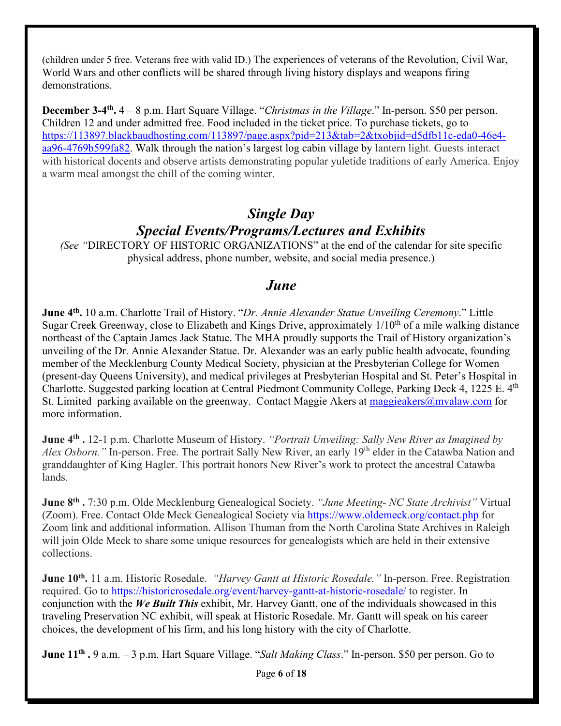(children under 5 free. Veterans free with valid ID.) The experiences of veterans of the Revolution, Civil War, World Wars and other conflicts will be shared through living history displays and weapons firing demonstrations.

**December 3-4th.** 4 – 8 p.m. Hart Square Village. "*Christmas in the Village*." In-person. \$50 per person. Children 12 and under admitted free. Food included in the ticket price. To purchase tickets, go to [https://113897.blackbaudhosting.com/113897/page.aspx?pid=213&tab=2&txobjid=d5dfb11c-eda0-46e4](https://113897.blackbaudhosting.com/113897/page.aspx?pid=213&tab=2&txobjid=d5dfb11c-eda0-46e4-aa96-4769b599fa82) [aa96-4769b599fa82.](https://113897.blackbaudhosting.com/113897/page.aspx?pid=213&tab=2&txobjid=d5dfb11c-eda0-46e4-aa96-4769b599fa82) Walk through the nation's largest log cabin village by lantern light. Guests interact with historical docents and observe artists demonstrating popular yuletide traditions of early America. Enjoy a warm meal amongst the chill of the coming winter.

# *Single Day Special Events/Programs/Lectures and Exhibits*

*(See "*DIRECTORY OF HISTORIC ORGANIZATIONS" at the end of the calendar for site specific physical address, phone number, website, and social media presence.)

# *June*

**June 4th.** 10 a.m. Charlotte Trail of History. "*Dr. Annie Alexander Statue Unveiling Ceremony*." Little Sugar Creek Greenway, close to Elizabeth and Kings Drive, approximately 1/10<sup>th</sup> of a mile walking distance northeast of the Captain James Jack Statue. The MHA proudly supports the Trail of History organization's unveiling of the Dr. Annie Alexander Statue. Dr. Alexander was an early public health advocate, founding member of the Mecklenburg County Medical Society, physician at the Presbyterian College for Women (present-day Queens University), and medical privileges at Presbyterian Hospital and St. Peter's Hospital in Charlotte. Suggested parking location at Central Piedmont Community College, Parking Deck 4, 1225 E. 4<sup>th</sup> St. Limited parking available on the greenway. Contact Maggie Akers at [maggieakers@mvalaw.com](mailto:maggieakers@mvalaw.com) for more information.

**June 4th .** 12-1 p.m. Charlotte Museum of History. *"Portrait Unveiling: Sally New River as Imagined by Alex Osborn.*" In-person. Free. The portrait Sally New River, an early 19<sup>th</sup> elder in the Catawba Nation and granddaughter of King Hagler. This portrait honors New River's work to protect the ancestral Catawba lands.

**June 8th .** 7:30 p.m. Olde Mecklenburg Genealogical Society. *"June Meeting- NC State Archivist"* Virtual (Zoom). Free. Contact Olde Meck Genealogical Society via<https://www.oldemeck.org/contact.php> for Zoom link and additional information. Allison Thuman from the North Carolina State Archives in Raleigh will join Olde Meck to share some unique resources for genealogists which are held in their extensive collections.

**June 10th.** 11 a.m. Historic Rosedale. *"Harvey Gantt at Historic Rosedale."* In-person. Free. Registration required. Go to<https://historicrosedale.org/event/harvey-gantt-at-historic-rosedale/>to register. In conjunction with the *We Built This* exhibit, Mr. Harvey Gantt, one of the individuals showcased in this traveling Preservation NC exhibit, will speak at Historic Rosedale. Mr. Gantt will speak on his career choices, the development of his firm, and his long history with the city of Charlotte.

**June 11th .** 9 a.m. – 3 p.m. Hart Square Village. "*Salt Making Class*." In-person. \$50 per person. Go to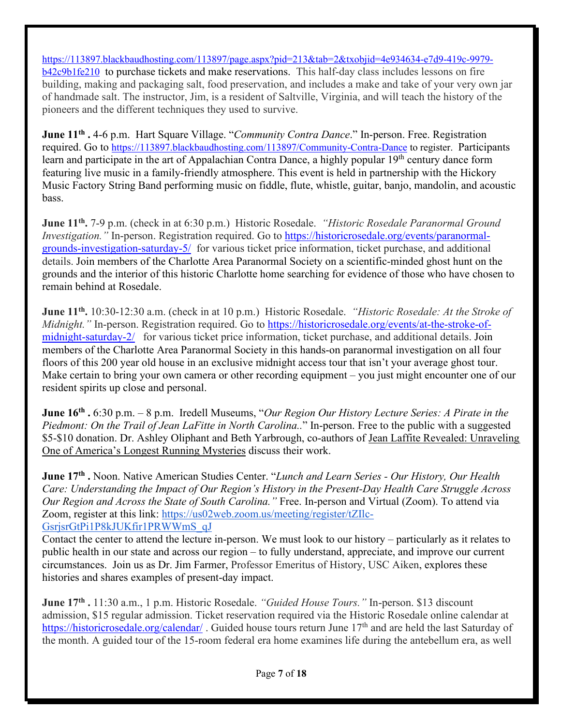[https://113897.blackbaudhosting.com/113897/page.aspx?pid=213&tab=2&txobjid=4e934634-e7d9-419c-9979](https://113897.blackbaudhosting.com/113897/page.aspx?pid=213&tab=2&txobjid=4e934634-e7d9-419c-9979-b42c9b1fe210) [b42c9b1fe210](https://113897.blackbaudhosting.com/113897/page.aspx?pid=213&tab=2&txobjid=4e934634-e7d9-419c-9979-b42c9b1fe210) to purchase tickets and make reservations. This half-day class includes lessons on fire building, making and packaging salt, food preservation, and includes a make and take of your very own jar of handmade salt. The instructor, Jim, is a resident of Saltville, Virginia, and will teach the history of the pioneers and the different techniques they used to survive.

**June 11th .** 4-6 p.m. Hart Square Village. "*Community Contra Dance*." In-person. Free. Registration required. Go to<https://113897.blackbaudhosting.com/113897/Community-Contra-Dance> to register. Participants learn and participate in the art of Appalachian Contra Dance, a highly popular 19<sup>th</sup> century dance form featuring live music in a family-friendly atmosphere. This event is held in partnership with the Hickory Music Factory String Band performing music on fiddle, flute, whistle, guitar, banjo, mandolin, and acoustic bass.

**June 11th.** 7-9 p.m. (check in at 6:30 p.m.)Historic Rosedale. *"Historic Rosedale Paranormal Ground Investigation.*" In-person. Registration required. Go to [https://historicrosedale.org/events/paranormal](https://historicrosedale.org/events/paranormal-grounds-investigation-saturday-5/)[grounds-investigation-saturday-5/](https://historicrosedale.org/events/paranormal-grounds-investigation-saturday-5/) for various ticket price information, ticket purchase, and additional details. Join members of the Charlotte Area Paranormal Society on a scientific-minded ghost hunt on the grounds and the interior of this historic Charlotte home searching for evidence of those who have chosen to remain behind at Rosedale.

**June 11th.** 10:30-12:30 a.m. (check in at 10 p.m.)Historic Rosedale. *"Historic Rosedale: At the Stroke of Midnight.*" In-person. Registration required. Go to [https://historicrosedale.org/events/at-the-stroke-of](https://historicrosedale.org/events/at-the-stroke-of-midnight-saturday-2/)[midnight-saturday-2/](https://historicrosedale.org/events/at-the-stroke-of-midnight-saturday-2/) for various ticket price information, ticket purchase, and additional details. Join members of the Charlotte Area Paranormal Society in this hands-on paranormal investigation on all four floors of this 200 year old house in an exclusive midnight access tour that isn't your average ghost tour. Make certain to bring your own camera or other recording equipment – you just might encounter one of our resident spirits up close and personal.

**June 16th .** 6:30 p.m. – 8 p.m. Iredell Museums, "*Our Region Our History Lecture Series: A Pirate in the Piedmont: On the Trail of Jean LaFitte in North Carolina..*" In-person. Free to the public with a suggested \$5-\$10 donation. Dr. Ashley Oliphant and Beth Yarbrough, co-authors of Jean Laffite Revealed: Unraveling One of America's Longest Running Mysteries discuss their work.

**June 17th .** Noon. Native American Studies Center. "*Lunch and Learn Series - Our History, Our Health Care: Understanding the Impact of Our Region's History in the Present-Day Health Care Struggle Across Our Region and Across the State of South Carolina."* Free. In-person and Virtual (Zoom). To attend via Zoom, register at this link: [https://us02web.zoom.us/meeting/register/tZIlc-](https://us02web.zoom.us/meeting/register/tZIlc-GsrjsrGtPi1P8kJUKfir1PRWWmS_qJ)[GsrjsrGtPi1P8kJUKfir1PRWWmS\\_qJ](https://us02web.zoom.us/meeting/register/tZIlc-GsrjsrGtPi1P8kJUKfir1PRWWmS_qJ)

Contact the center to attend the lecture in-person. We must look to our history – particularly as it relates to public health in our state and across our region – to fully understand, appreciate, and improve our current circumstances. Join us as Dr. Jim Farmer, Professor Emeritus of History, USC Aiken, explores these histories and shares examples of present-day impact.

**June 17th .** 11:30 a.m., 1 p.m. Historic Rosedale. *"Guided House Tours."* In-person. \$13 discount admission, \$15 regular admission. Ticket reservation required via the Historic Rosedale online calendar at https://historicrosedale.org/calendar/. Guided house tours return June 17<sup>th</sup> and are held the last Saturday of the month. A guided tour of the 15-room federal era home examines life during the antebellum era, as well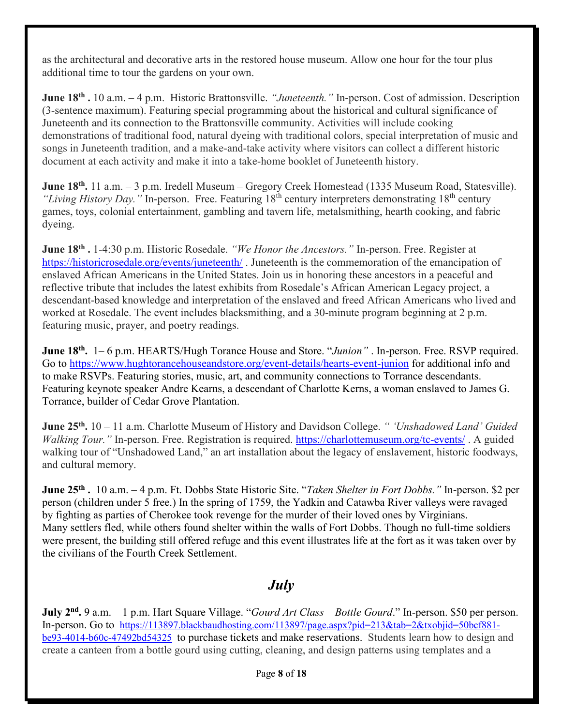as the architectural and decorative arts in the restored house museum. Allow one hour for the tour plus additional time to tour the gardens on your own.

**June 18th .** 10 a.m. – 4 p.m.Historic Brattonsville. *"Juneteenth."* In-person. Cost of admission. Description (3-sentence maximum). Featuring special programming about the historical and cultural significance of Juneteenth and its connection to the Brattonsville community. Activities will include cooking demonstrations of traditional food, natural dyeing with traditional colors, special interpretation of music and songs in Juneteenth tradition, and a make-and-take activity where visitors can collect a different historic document at each activity and make it into a take-home booklet of Juneteenth history.

**June 18th.** 11 a.m. – 3 p.m. Iredell Museum – Gregory Creek Homestead (1335 Museum Road, Statesville). *"Living History Day."* In-person. Free. Featuring 18th century interpreters demonstrating 18th century games, toys, colonial entertainment, gambling and tavern life, metalsmithing, hearth cooking, and fabric dyeing.

**June 18th .** 1-4:30 p.m. Historic Rosedale. *"We Honor the Ancestors."* In-person. Free. Register at https://historicrosedale.org/events/juneteenth/. Juneteenth is the commemoration of the emancipation of enslaved African Americans in the United States. Join us in honoring these ancestors in a peaceful and reflective tribute that includes the latest exhibits from Rosedale's African American Legacy project, a descendant-based knowledge and interpretation of the enslaved and freed African Americans who lived and worked at Rosedale. The event includes blacksmithing, and a 30-minute program beginning at 2 p.m. featuring music, prayer, and poetry readings.

**June 18th.** 1– 6 p.m. HEARTS/Hugh Torance House and Store. "*Junion"* . In-person. Free. RSVP required. Go to<https://www.hughtorancehouseandstore.org/event-details/hearts-event-junion>for additional info and to make RSVPs. Featuring stories, music, art, and community connections to Torrance descendants. Featuring keynote speaker Andre Kearns, a descendant of Charlotte Kerns, a woman enslaved to James G. Torrance, builder of Cedar Grove Plantation.

**June 25th.** 10 – 11 a.m. Charlotte Museum of History and Davidson College. *" 'Unshadowed Land' Guided Walking Tour.*" In-person. Free. Registration is required. https://charlottemuseum.org/tc-events/. A guided walking tour of "Unshadowed Land," an art installation about the legacy of enslavement, historic foodways, and cultural memory.

**June 25th .** 10 a.m. – 4 p.m. Ft. Dobbs State Historic Site. "*Taken Shelter in Fort Dobbs."* In-person. \$2 per person (children under 5 free.) In the spring of 1759, the Yadkin and Catawba River valleys were ravaged by fighting as parties of Cherokee took revenge for the murder of their loved ones by Virginians. Many settlers fled, while others found shelter within the walls of Fort Dobbs. Though no full-time soldiers were present, the building still offered refuge and this event illustrates life at the fort as it was taken over by the civilians of the Fourth Creek Settlement.

# *July*

**July 2nd.** 9 a.m. – 1 p.m. Hart Square Village. "*Gourd Art Class – Bottle Gourd*." In-person. \$50 per person. In-person. Go to [https://113897.blackbaudhosting.com/113897/page.aspx?pid=213&tab=2&txobjid=50bcf881](https://113897.blackbaudhosting.com/113897/page.aspx?pid=213&tab=2&txobjid=50bcf881-be93-4014-b60c-47492bd54325) [be93-4014-b60c-47492bd54325](https://113897.blackbaudhosting.com/113897/page.aspx?pid=213&tab=2&txobjid=50bcf881-be93-4014-b60c-47492bd54325) to purchase tickets and make reservations. Students learn how to design and create a canteen from a bottle gourd using cutting, cleaning, and design patterns using templates and a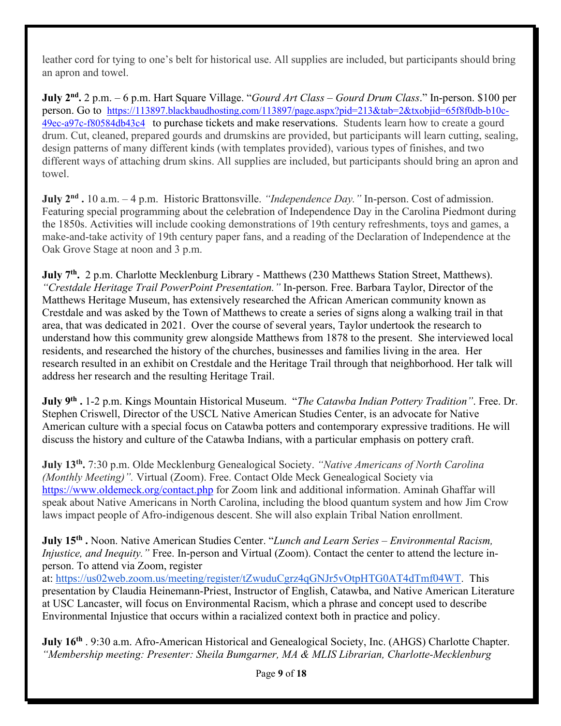leather cord for tying to one's belt for historical use. All supplies are included, but participants should bring an apron and towel.

**July 2nd.** 2 p.m. – 6 p.m. Hart Square Village. "*Gourd Art Class – Gourd Drum Class*." In-person. \$100 per person. Go to [https://113897.blackbaudhosting.com/113897/page.aspx?pid=213&tab=2&txobjid=65f8f0db-b10c-](https://113897.blackbaudhosting.com/113897/page.aspx?pid=213&tab=2&txobjid=65f8f0db-b10c-49ec-a97c-f80584db43c4)[49ec-a97c-f80584db43c4](https://113897.blackbaudhosting.com/113897/page.aspx?pid=213&tab=2&txobjid=65f8f0db-b10c-49ec-a97c-f80584db43c4) to purchase tickets and make reservations. Students learn how to create a gourd drum. Cut, cleaned, prepared gourds and drumskins are provided, but participants will learn cutting, sealing, design patterns of many different kinds (with templates provided), various types of finishes, and two different ways of attaching drum skins. All supplies are included, but participants should bring an apron and towel.

**July 2nd .** 10 a.m. – 4 p.m.Historic Brattonsville. *"Independence Day."* In-person. Cost of admission. Featuring special programming about the celebration of Independence Day in the Carolina Piedmont during the 1850s. Activities will include cooking demonstrations of 19th century refreshments, toys and games, a make-and-take activity of 19th century paper fans, and a reading of the Declaration of Independence at the Oak Grove Stage at noon and 3 p.m.

**July 7th.** 2 p.m. Charlotte Mecklenburg Library - Matthews (230 Matthews Station Street, Matthews). *"Crestdale Heritage Trail PowerPoint Presentation."* In-person. Free. Barbara Taylor, Director of the Matthews Heritage Museum, has extensively researched the African American community known as Crestdale and was asked by the Town of Matthews to create a series of signs along a walking trail in that area, that was dedicated in 2021. Over the course of several years, Taylor undertook the research to understand how this community grew alongside Matthews from 1878 to the present. She interviewed local residents, and researched the history of the churches, businesses and families living in the area. Her research resulted in an exhibit on Crestdale and the Heritage Trail through that neighborhood. Her talk will address her research and the resulting Heritage Trail.

**July 9th .** 1-2 p.m. Kings Mountain Historical Museum. "*The Catawba Indian Pottery Tradition"*. Free. Dr. Stephen Criswell, Director of the USCL Native American Studies Center, is an advocate for Native American culture with a special focus on Catawba potters and contemporary expressive traditions. He will discuss the history and culture of the Catawba Indians, with a particular emphasis on pottery craft.

**July 13th.** 7:30 p.m. Olde Mecklenburg Genealogical Society. *"Native Americans of North Carolina (Monthly Meeting)".* Virtual (Zoom). Free. Contact Olde Meck Genealogical Society via <https://www.oldemeck.org/contact.php>for Zoom link and additional information. Aminah Ghaffar will speak about Native Americans in North Carolina, including the blood quantum system and how Jim Crow laws impact people of Afro-indigenous descent. She will also explain Tribal Nation enrollment.

**July 15th .** Noon. Native American Studies Center. "*Lunch and Learn Series – Environmental Racism, Injustice, and Inequity.*" Free. In-person and Virtual (Zoom). Contact the center to attend the lecture inperson. To attend via Zoom, register

at: [https://us02web.zoom.us/meeting/register/tZwuduCgrz4qGNJr5vOtpHTG0AT4dTmf04WT.](https://us02web.zoom.us/meeting/register/tZwuduCgrz4qGNJr5vOtpHTG0AT4dTmf04WT) This presentation by Claudia Heinemann-Priest, Instructor of English, Catawba, and Native American Literature at USC Lancaster, will focus on Environmental Racism, which a phrase and concept used to describe Environmental Injustice that occurs within a racialized context both in practice and policy.

**July 16th** . 9:30 a.m. Afro-American Historical and Genealogical Society, Inc. (AHGS) Charlotte Chapter. *"Membership meeting: Presenter: Sheila Bumgarner, MA & MLIS Librarian, Charlotte-Mecklenburg*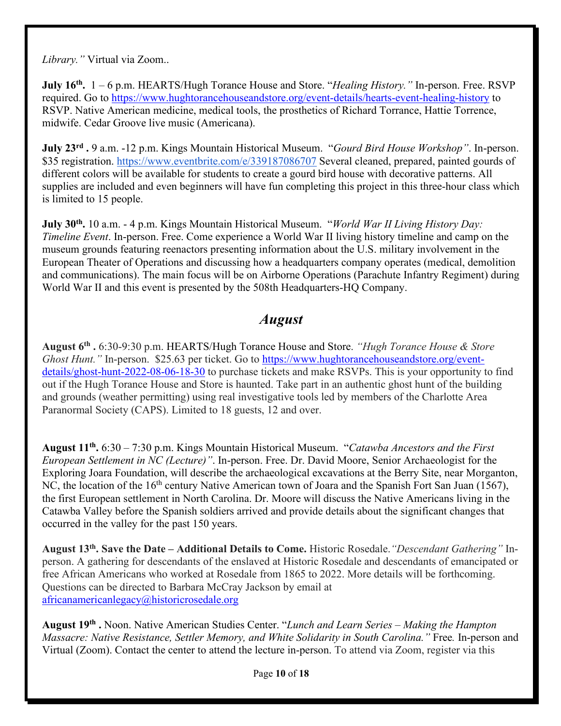*Library."* Virtual via Zoom..

**July 16th.** 1 – 6 p.m. HEARTS/Hugh Torance House and Store. "*Healing History."* In-person. Free. RSVP required. Go to<https://www.hughtorancehouseandstore.org/event-details/hearts-event-healing-history>to RSVP. Native American medicine, medical tools, the prosthetics of Richard Torrance, Hattie Torrence, midwife. Cedar Groove live music (Americana).

**July 23rd .** 9 a.m. -12 p.m. Kings Mountain Historical Museum. "*Gourd Bird House Workshop"*. In-person. \$35 registration.<https://www.eventbrite.com/e/339187086707> Several cleaned, prepared, painted gourds of different colors will be available for students to create a gourd bird house with decorative patterns. All supplies are included and even beginners will have fun completing this project in this three-hour class which is limited to 15 people.

**July 30th.** 10 a.m. - 4 p.m. Kings Mountain Historical Museum. "*World War II Living History Day: Timeline Event*. In-person. Free. Come experience a World War II living history timeline and camp on the museum grounds featuring reenactors presenting information about the U.S. military involvement in the European Theater of Operations and discussing how a headquarters company operates (medical, demolition and communications). The main focus will be on Airborne Operations (Parachute Infantry Regiment) during World War II and this event is presented by the 508th Headquarters-HQ Company.

# *August*

**August 6th .** 6:30-9:30 p.m. HEARTS/Hugh Torance House and Store. *"Hugh Torance House & Store Ghost Hunt.*" In-person. \$25.63 per ticket. Go to [https://www.hughtorancehouseandstore.org/event](https://www.hughtorancehouseandstore.org/event-details/ghost-hunt-2022-08-06-18-30)[details/ghost-hunt-2022-08-06-18-30](https://www.hughtorancehouseandstore.org/event-details/ghost-hunt-2022-08-06-18-30) to purchase tickets and make RSVPs. This is your opportunity to find out if the Hugh Torance House and Store is haunted. Take part in an authentic ghost hunt of the building and grounds (weather permitting) using real investigative tools led by members of the Charlotte Area Paranormal Society (CAPS). Limited to 18 guests, 12 and over.

**August 11th.** 6:30 – 7:30 p.m. Kings Mountain Historical Museum. "*Catawba Ancestors and the First European Settlement in NC (Lecture)"*. In-person. Free. Dr. David Moore, Senior Archaeologist for the Exploring Joara Foundation, will describe the archaeological excavations at the Berry Site, near Morganton, NC, the location of the 16<sup>th</sup> century Native American town of Joara and the Spanish Fort San Juan (1567), the first European settlement in North Carolina. Dr. Moore will discuss the Native Americans living in the Catawba Valley before the Spanish soldiers arrived and provide details about the significant changes that occurred in the valley for the past 150 years.

**August 13th. Save the Date – Additional Details to Come.** Historic Rosedale.*"Descendant Gathering"* Inperson. A gathering for descendants of the enslaved at Historic Rosedale and descendants of emancipated or free African Americans who worked at Rosedale from 1865 to 2022. More details will be forthcoming. Questions can be directed to Barbara McCray Jackson by email at [africanamericanlegacy@historicrosedale.org](mailto:africanamericanlegacy@historicrosedale.org)

**August 19th .** Noon. Native American Studies Center. "*Lunch and Learn Series – Making the Hampton Massacre: Native Resistance, Settler Memory, and White Solidarity in South Carolina."* Free*.* In-person and Virtual (Zoom). Contact the center to attend the lecture in-person. To attend via Zoom, register via this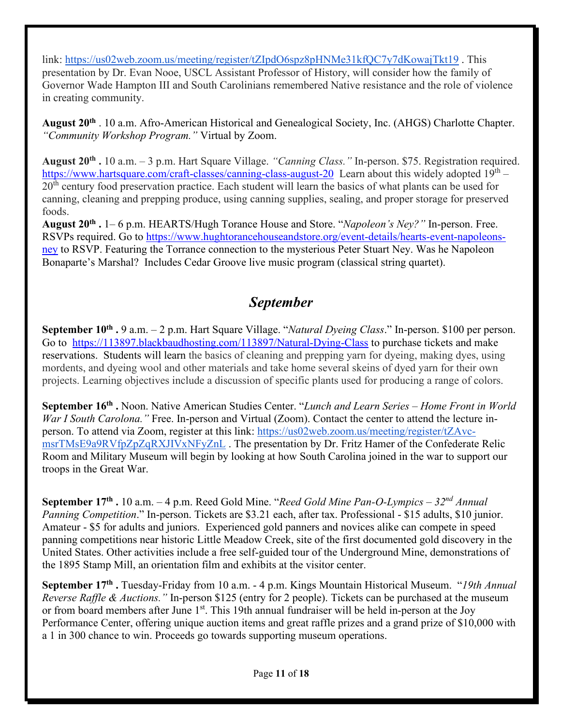link:<https://us02web.zoom.us/meeting/register/tZIpdO6spz8pHNMe31kfQC7y7dKowajTkt19>. This presentation by Dr. Evan Nooe, USCL Assistant Professor of History, will consider how the family of Governor Wade Hampton III and South Carolinians remembered Native resistance and the role of violence in creating community.

**August 20th** . 10 a.m. Afro-American Historical and Genealogical Society, Inc. (AHGS) Charlotte Chapter. *"Community Workshop Program."* Virtual by Zoom.

**August 20th .** 10 a.m. – 3 p.m. Hart Square Village. *"Canning Class."* In-person. \$75. Registration required. <https://www.hartsquare.com/craft-classes/canning-class-august-20>Learn about this widely adopted  $19<sup>th</sup>$  – 20<sup>th</sup> century food preservation practice. Each student will learn the basics of what plants can be used for canning, cleaning and prepping produce, using canning supplies, sealing, and proper storage for preserved foods.

**August 20th .** 1– 6 p.m. HEARTS/Hugh Torance House and Store. "*Napoleon's Ney?"* In-person. Free. RSVPs required. Go to [https://www.hughtorancehouseandstore.org/event-details/hearts-event-napoleons](https://www.hughtorancehouseandstore.org/event-details/hearts-event-napoleons-ney)[ney](https://www.hughtorancehouseandstore.org/event-details/hearts-event-napoleons-ney) to RSVP. Featuring the Torrance connection to the mysterious Peter Stuart Ney. Was he Napoleon Bonaparte's Marshal? Includes Cedar Groove live music program (classical string quartet).

# *September*

**September 10th .** 9 a.m. – 2 p.m. Hart Square Village. "*Natural Dyeing Class*." In-person. \$100 per person. Go to <https://113897.blackbaudhosting.com/113897/Natural-Dying-Class> to purchase tickets and make reservations. Students will learn the basics of cleaning and prepping yarn for dyeing, making dyes, using mordents, and dyeing wool and other materials and take home several skeins of dyed yarn for their own projects. Learning objectives include a discussion of specific plants used for producing a range of colors.

**September 16th .** Noon. Native American Studies Center. "*Lunch and Learn Series – Home Front in World War I South Carolona.*" Free. In-person and Virtual (Zoom). Contact the center to attend the lecture inperson. To attend via Zoom, register at this link: [https://us02web.zoom.us/meeting/register/tZAvc](https://us02web.zoom.us/meeting/register/tZAvc-msrTMsE9a9RVfpZpZqRXJIVxNFyZnL)[msrTMsE9a9RVfpZpZqRXJIVxNFyZnL](https://us02web.zoom.us/meeting/register/tZAvc-msrTMsE9a9RVfpZpZqRXJIVxNFyZnL) . The presentation by Dr. Fritz Hamer of the Confederate Relic Room and Military Museum will begin by looking at how South Carolina joined in the war to support our troops in the Great War.

**September 17th .** 10 a.m. – 4 p.m. Reed Gold Mine. "*Reed Gold Mine Pan-O-Lympics – 32nd Annual Panning Competition*." In-person. Tickets are \$3.21 each, after tax. Professional - \$15 adults, \$10 junior. Amateur - \$5 for adults and juniors. Experienced gold panners and novices alike can compete in speed panning competitions near historic Little Meadow Creek, site of the first documented gold discovery in the United States. Other activities include a free self-guided tour of the Underground Mine, demonstrations of the 1895 Stamp Mill, an orientation film and exhibits at the visitor center.

**September 17th .** Tuesday-Friday from 10 a.m. - 4 p.m. Kings Mountain Historical Museum. "*19th Annual Reverse Raffle & Auctions."* In-person \$125 (entry for 2 people). Tickets can be purchased at the museum or from board members after June 1<sup>st</sup>. This 19th annual fundraiser will be held in-person at the Joy Performance Center, offering unique auction items and great raffle prizes and a grand prize of \$10,000 with a 1 in 300 chance to win. Proceeds go towards supporting museum operations.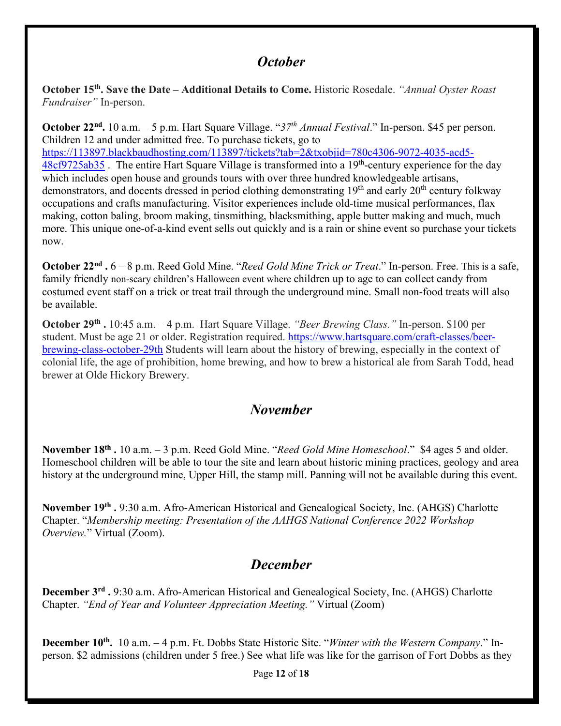# *October*

**October 15th. Save the Date – Additional Details to Come.** Historic Rosedale. *"Annual Oyster Roast Fundraiser"* In-person.

**October 22nd.** 10 a.m. – 5 p.m. Hart Square Village. "*37th Annual Festival*." In-person. \$45 per person. Children 12 and under admitted free. To purchase tickets, go to [https://113897.blackbaudhosting.com/113897/tickets?tab=2&txobjid=780c4306-9072-4035-acd5-](https://113897.blackbaudhosting.com/113897/tickets?tab=2&txobjid=780c4306-9072-4035-acd5-48cf9725ab35)  $48cf9725ab35$ . The entire Hart Square Village is transformed into a 19<sup>th</sup>-century experience for the day which includes open house and grounds tours with over three hundred knowledgeable artisans, demonstrators, and docents dressed in period clothing demonstrating 19<sup>th</sup> and early 20<sup>th</sup> century folkway occupations and crafts manufacturing. Visitor experiences include old-time musical performances, flax making, cotton baling, broom making, tinsmithing, blacksmithing, apple butter making and much, much more. This unique one-of-a-kind event sells out quickly and is a rain or shine event so purchase your tickets now.

**October 22nd .** 6 – 8 p.m. Reed Gold Mine. "*Reed Gold Mine Trick or Treat*." In-person. Free. This is a safe, family friendly non-scary children's Halloween event where children up to age to can collect candy from costumed event staff on a trick or treat trail through the underground mine. Small non-food treats will also be available.

**October 29th .** 10:45 a.m. – 4 p.m.Hart Square Village. *"Beer Brewing Class."* In-person. \$100 per student. Must be age 21 or older. Registration required. [https://www.hartsquare.com/craft-classes/beer](https://www.hartsquare.com/craft-classes/beer-brewing-class-october-29th)[brewing-class-october-29th](https://www.hartsquare.com/craft-classes/beer-brewing-class-october-29th) Students will learn about the history of brewing, especially in the context of colonial life, the age of prohibition, home brewing, and how to brew a historical ale from Sarah Todd, head brewer at Olde Hickory Brewery.

# *November*

**November 18th .** 10 a.m. – 3 p.m. Reed Gold Mine. "*Reed Gold Mine Homeschool*." \$4 ages 5 and older. Homeschool children will be able to tour the site and learn about historic mining practices, geology and area history at the underground mine, Upper Hill, the stamp mill. Panning will not be available during this event.

**November 19th .** 9:30 a.m. Afro-American Historical and Genealogical Society, Inc. (AHGS) Charlotte Chapter. "*Membership meeting: Presentation of the AAHGS National Conference 2022 Workshop Overview.*" Virtual (Zoom).

# *December*

**December 3rd .** 9:30 a.m. Afro-American Historical and Genealogical Society, Inc. (AHGS) Charlotte Chapter. *"End of Year and Volunteer Appreciation Meeting."* Virtual (Zoom)

**December 10th.** 10 a.m. – 4 p.m. Ft. Dobbs State Historic Site. "*Winter with the Western Company*." Inperson. \$2 admissions (children under 5 free.) See what life was like for the garrison of Fort Dobbs as they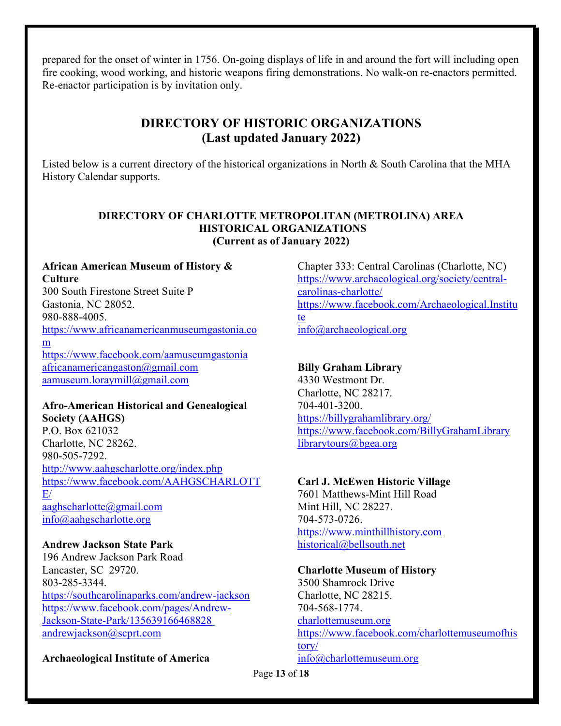prepared for the onset of winter in 1756. On-going displays of life in and around the fort will including open fire cooking, wood working, and historic weapons firing demonstrations. No walk-on re-enactors permitted. Re-enactor participation is by invitation only.

# **DIRECTORY OF HISTORIC ORGANIZATIONS (Last updated January 2022)**

Listed below is a current directory of the historical organizations in North & South Carolina that the MHA History Calendar supports.

### **DIRECTORY OF CHARLOTTE METROPOLITAN (METROLINA) AREA HISTORICAL ORGANIZATIONS (Current as of January 2022)**

### **African American Museum of History & Culture**

300 South Firestone Street Suite P Gastonia, NC 28052. 980-888-4005. [https://www.africanamericanmuseumgastonia.co](https://www.africanamericanmuseumgastonia.com/) [m](https://www.africanamericanmuseumgastonia.com/)  <https://www.facebook.com/aamuseumgastonia> [africanamericangaston@gmail.com](mailto:africanamericangaston@gmail.com) [aamuseum.loraymill@gmail.com](mailto:aamuseum.loraymill@gmail.com)

### **Afro-American Historical and Genealogical Society (AAHGS)**

P.O. Box 621032 Charlotte, NC 28262. 980-505-7292. <http://www.aahgscharlotte.org/index.php> [https://www.facebook.com/AAHGSCHARLOTT](https://www.facebook.com/AAHGSCHARLOTTE/)  $E/$ [aaghscharlotte@gmail.com](mailto:aaghscharlotte@gmail.com) [info@aahgscharlotte.org](mailto:info@aahgscharlotte.org)

# **Andrew Jackson State Park**

196 Andrew Jackson Park Road Lancaster, SC 29720. 803-285-3344. <https://southcarolinaparks.com/andrew-jackson> [https://www.facebook.com/pages/Andrew-](https://www.facebook.com/pages/Andrew-Jackson-State-Park/135639166468828)[Jackson-State-Park/135639166468828](https://www.facebook.com/pages/Andrew-Jackson-State-Park/135639166468828)  [andrewjackson@scprt.com](mailto:andrewjackson@scprt.com)

# **Archaeological Institute of America**

Chapter 333: Central Carolinas (Charlotte, NC) [https://www.archaeological.org/society/central](https://www.archaeological.org/society/central-carolinas-charlotte/)[carolinas-charlotte/](https://www.archaeological.org/society/central-carolinas-charlotte/) [https://www.facebook.com/Archaeological.Institu](https://www.facebook.com/Archaeological.Institute) [te](https://www.facebook.com/Archaeological.Institute) [info@archaeological.org](mailto:info@archaeological.org)

# **Billy Graham Library**

4330 Westmont Dr. Charlotte, NC 28217. 704-401-3200. <https://billygrahamlibrary.org/> <https://www.facebook.com/BillyGrahamLibrary> [librarytours@bgea.org](mailto:librarytours@bgea.org) 

# **Carl J. McEwen Historic Village**

7601 Matthews-Mint Hill Road Mint Hill, NC 28227. 704-573-0726. [https://www.minthillhistory.com](https://www.minthillhistory.com/)  [historical@bellsouth.net](mailto:historical@bellsouth.net)

### **Charlotte Museum of History**

3500 Shamrock Drive Charlotte, NC 28215. 704-568-1774. charlottemuseum.org [https://www.facebook.com/charlottemuseumofhis](https://www.facebook.com/charlottemuseumofhistory/) [tory/](https://www.facebook.com/charlottemuseumofhistory/) [info@charlottemuseum.org](mailto:info@charlottemuseum.org) 

Page **13** of **18**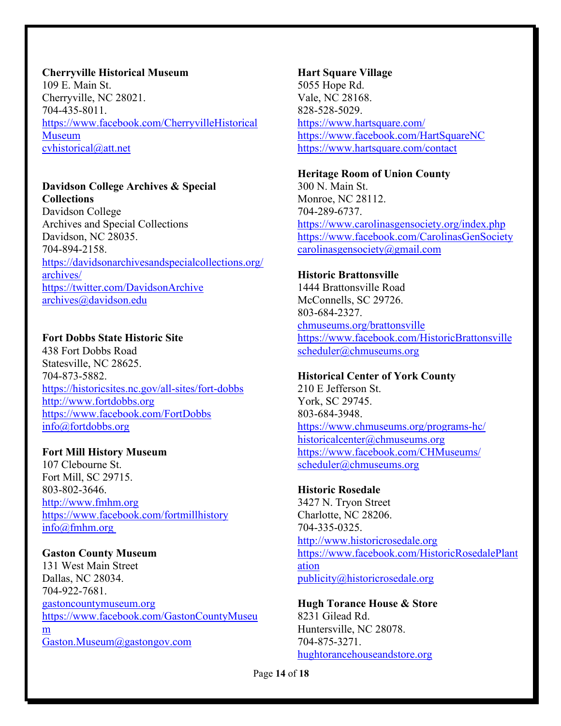### **Cherryville Historical Museum**

109 E. Main St. Cherryville, NC 28021. 704-435-8011. [https://www.facebook.com/CherryvilleHistorical](https://www.facebook.com/CherryvilleHistoricalMuseum) [Museum](https://www.facebook.com/CherryvilleHistoricalMuseum)  [cvhistorical@att.net](mailto:cvhistorical@att.net)

# **Davidson College Archives & Special Collections**

Davidson College Archives and Special Collections Davidson, NC 28035. 704-894-2158. [https://davidsonarchivesandspecialcollections.org/](https://davidsonarchivesandspecialcollections.org/archives/) [archives/](https://davidsonarchivesandspecialcollections.org/archives/) <https://twitter.com/DavidsonArchive> [archives@davidson.edu](mailto:archives@davidson.edu)

### **Fort Dobbs State Historic Site**

438 Fort Dobbs Road Statesville, NC 28625. 704-873-5882. <https://historicsites.nc.gov/all-sites/fort-dobbs> [http://www.fortdobbs.org](http://www.fortdobbs.org/) <https://www.facebook.com/FortDobbs> [info@fortdobbs.org](mailto:info@fortdobbs.org) 

### **Fort Mill History Museum**

107 Clebourne St. Fort Mill, SC 29715. 803-802-3646. [http://www.fmhm.org](http://www.fmhm.org/) <https://www.facebook.com/fortmillhistory> [info@fmhm.org](mailto:info@fmhm.org)

### **Gaston County Museum**

131 West Main Street Dallas, NC 28034. 704-922-7681. gastoncountymuseum.org [https://www.facebook.com/GastonCountyMuseu](https://www.facebook.com/GastonCountyMuseum) [m](https://www.facebook.com/GastonCountyMuseum) [Gaston.Museum@gastongov.com](mailto:Gaston.Museum@gastongov.com)

#### **Hart Square Village**

5055 Hope Rd. Vale, NC 28168. 828-528-5029. <https://www.hartsquare.com/> <https://www.facebook.com/HartSquareNC> <https://www.hartsquare.com/contact>

#### **Heritage Room of Union County**

300 N. Main St. Monroe, NC 28112. 704-289-6737. <https://www.carolinasgensociety.org/index.php> <https://www.facebook.com/CarolinasGenSociety> [carolinasgensociety@gmail.com](mailto:carolinasgensociety@gmail.com)

### **Historic Brattonsville**

1444 Brattonsville Road McConnells, SC 29726. 803-684-2327. chmuseums.org/brattonsville <https://www.facebook.com/HistoricBrattonsville> [scheduler@chmuseums.org](mailto:scheduler@chmuseums.org) 

### **Historical Center of York County**

210 E Jefferson St. York, SC 29745. 803-684-3948. <https://www.chmuseums.org/programs-hc/> [historicalcenter@chmuseums.org](mailto:historicalcenter@chmuseums.org) <https://www.facebook.com/CHMuseums/> [scheduler@chmuseums.org](mailto:scheduler@chmuseums.org)

# **Historic Rosedale**

3427 N. Tryon Street Charlotte, NC 28206. 704-335-0325. [http://www.historicrosedale.org](http://www.historicrosedale.org/) [https://www.facebook.com/HistoricRosedalePlant](https://www.facebook.com/HistoricRosedalePlantation) [ation](https://www.facebook.com/HistoricRosedalePlantation) [publicity@historicrosedale.org](mailto:publicity@historicrosedale.org)

# **Hugh Torance House & Store**

8231 Gilead Rd. Huntersville, NC 28078. 704-875-3271. hughtorancehouseandstore.org

Page **14** of **18**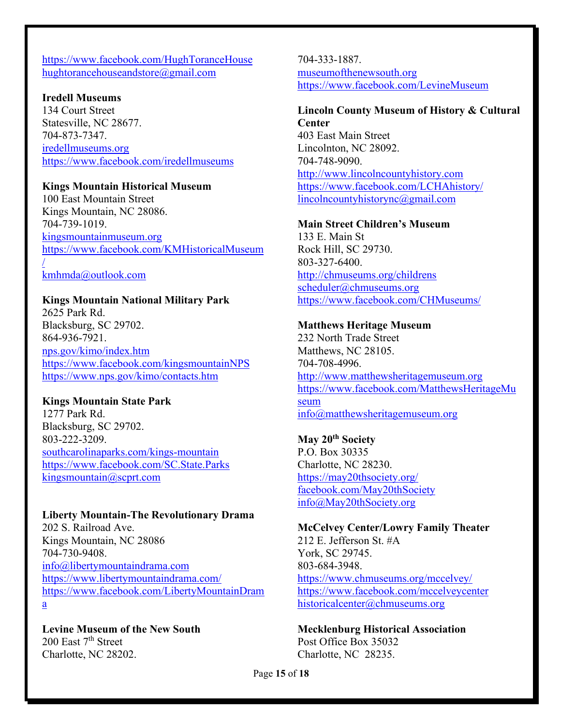### <https://www.facebook.com/HughToranceHouse> hughtorancehouseandstore@gmail.com

#### **Iredell Museums**

134 Court Street Statesville, NC 28677. 704-873-7347. iredellmuseums.org <https://www.facebook.com/iredellmuseums>

#### **Kings Mountain Historical Museum**

100 East Mountain Street Kings Mountain, NC 28086. 704-739-1019. [kingsmountainmuseum.org](https://www.kingsmountainmuseum.org/) [https://www.facebook.com/KMHistoricalMuseum](https://www.facebook.com/KMHistoricalMuseum/) [/](https://www.facebook.com/KMHistoricalMuseum/)

[kmhmda@outlook.com](mailto:kmhmda@outlook.com) 

# **Kings Mountain National Military Park**

2625 Park Rd. Blacksburg, SC 29702. 864-936-7921. nps.gov/kimo/index.htm <https://www.facebook.com/kingsmountainNPS> <https://www.nps.gov/kimo/contacts.htm>

#### **Kings Mountain State Park**

1277 Park Rd. Blacksburg, SC 29702. 803-222-3209. southcarolinaparks.com/kings-mountain <https://www.facebook.com/SC.State.Parks> [kingsmountain@scprt.com](mailto:kingsmountain@scprt.com)

# **Liberty Mountain-The Revolutionary Drama**

202 S. Railroad Ave. Kings Mountain, NC 28086 704-730-9408. [info@libertymountaindrama.com](mailto:info@libertymountaindrama.com)  <https://www.libertymountaindrama.com/> [https://www.facebook.com/LibertyMountainDram](https://www.facebook.com/LibertyMountainDrama) [a](https://www.facebook.com/LibertyMountainDrama)

**Levine Museum of the New South** 200 East  $7<sup>th</sup>$  Street Charlotte, NC 28202.

704-333-1887. museumofthenewsouth.org <https://www.facebook.com/LevineMuseum>

#### **Lincoln County Museum of History & Cultural Center**

403 East Main Street Lincolnton, NC 28092. 704-748-9090. [http://www.lincolncountyhistory.com](http://www.lincolncountyhistory.com/) <https://www.facebook.com/LCHAhistory/> [lincolncountyhistorync@gmail.com](mailto:lincolncountyhistorync@gmail.com) 

#### **Main Street Children's Museum**

133 E. Main St Rock Hill, SC 29730. 803-327-6400. <http://chmuseums.org/childrens> [scheduler@chmuseums.org](mailto:scheduler@chmuseums.org)  <https://www.facebook.com/CHMuseums/>

#### **Matthews Heritage Museum**

232 North Trade Street Matthews, NC 28105. 704-708-4996. [http://www.matthewsheritagemuseum.org](http://www.matthewsheritagemuseum.org/) [https://www.facebook.com/MatthewsHeritageMu](https://www.facebook.com/MatthewsHeritageMuseum) [seum](https://www.facebook.com/MatthewsHeritageMuseum) [info@matthewsheritagemuseum.org](mailto:info@matthewsheritagemuseum.org)

**May 20th Society** P.O. Box 30335 Charlotte, NC 28230. <https://may20thsociety.org/> facebook.com/May20thSociety [info@May20thSociety.org](mailto:info@May20thSociety.org)

### **McCelvey Center/Lowry Family Theater**

212 E. Jefferson St. #A York, SC 29745. 803-684-3948. <https://www.chmuseums.org/mccelvey/> <https://www.facebook.com/mccelveycenter> [historicalcenter@chmuseums.org](mailto:historicalcenter@chmuseums.org)

**Mecklenburg Historical Association** Post Office Box 35032 Charlotte, NC 28235.

Page **15** of **18**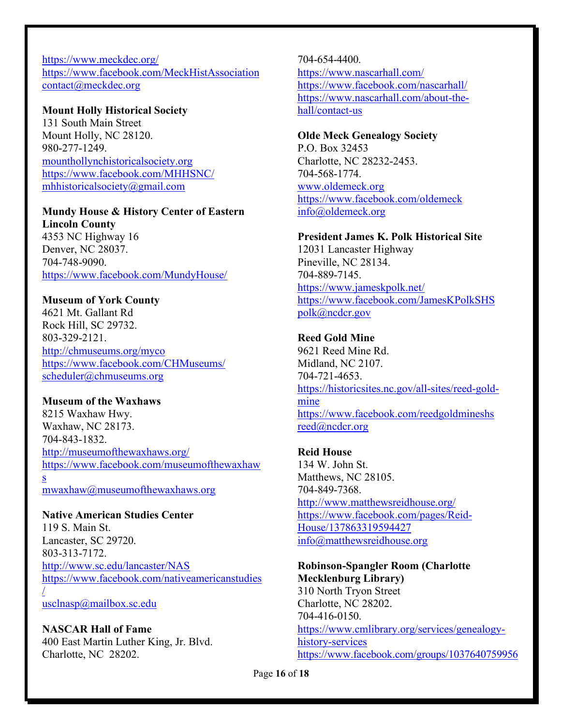<https://www.meckdec.org/> <https://www.facebook.com/MeckHistAssociation> [contact@meckdec.org](mailto:contact@meckdec.org)

#### **Mount Holly Historical Society**

131 South Main Street Mount Holly, NC 28120. 980-277-1249. [mounthollynchistoricalsociety.org](https://www.mounthollynchistoricalsociety.org/) <https://www.facebook.com/MHHSNC/> mhhistoricalsociety@gmail.com

# **Mundy House & History Center of Eastern**

**Lincoln County** 4353 NC Highway 16 Denver, NC 28037. 704-748-9090. <https://www.facebook.com/MundyHouse/>

### **Museum of York County**

4621 Mt. Gallant Rd Rock Hill, SC 29732. 803-329-2121. <http://chmuseums.org/myco> <https://www.facebook.com/CHMuseums/> [scheduler@chmuseums.org](mailto:scheduler@chmuseums.org)

#### **Museum of the Waxhaws**

s

[/](https://www.facebook.com/nativeamericanstudies/)

8215 Waxhaw Hwy. Waxhaw, NC 28173. 704-843-1832. <http://museumofthewaxhaws.org/> [https://www.facebook.com/museumofthewaxhaw](https://www.facebook.com/museumofthewaxhaws)

[mwaxhaw@museumofthewaxhaws.org](mailto:mwaxhaw@museumofthewaxhaws.org)

#### **Native American Studies Center**

119 S. Main St. Lancaster, SC 29720. 803-313-7172. <http://www.sc.edu/lancaster/NAS> [https://www.facebook.com/nativeamericanstudies](https://www.facebook.com/nativeamericanstudies/)

[usclnasp@mailbox.sc.edu](mailto:usclnasp@mailbox.sc.edu)

#### **NASCAR Hall of Fame** 400 East Martin Luther King, Jr. Blvd. Charlotte, NC 28202.

# 704-654-4400.

<https://www.nascarhall.com/> <https://www.facebook.com/nascarhall/> [https://www.nascarhall.com/about-the](https://www.nascarhall.com/about-the-hall/contact-us)[hall/contact-us](https://www.nascarhall.com/about-the-hall/contact-us) 

### **Olde Meck Genealogy Society**

P.O. Box 32453 Charlotte, NC 28232-2453. 704-568-1774. [www.oldemeck.org](http://www.oldemeck.org/) <https://www.facebook.com/oldemeck> [info@oldemeck.org](mailto:info@oldemeck.org) 

#### **President James K. Polk Historical Site**

12031 Lancaster Highway Pineville, NC 28134. 704-889-7145. <https://www.jameskpolk.net/> <https://www.facebook.com/JamesKPolkSHS> [polk@ncdcr.gov](mailto:polk@ncdcr.gov) 

### **Reed Gold Mine**

9621 Reed Mine Rd. Midland, NC 2107. 704-721-4653. [https://historicsites.nc.gov/all-sites/reed-gold](https://historicsites.nc.gov/all-sites/reed-gold-mine)[mine](https://historicsites.nc.gov/all-sites/reed-gold-mine) <https://www.facebook.com/reedgoldmineshs> [reed@ncdcr.org](mailto:reed@ncdcr.org) 

#### **Reid House**

134 W. John St. Matthews, NC 28105. 704-849-7368. <http://www.matthewsreidhouse.org/> [https://www.facebook.com/pages/Reid-](https://www.facebook.com/pages/Reid-House/137863319594427)[House/137863319594427](https://www.facebook.com/pages/Reid-House/137863319594427) [info@matthewsreidhouse.org](mailto:info@matthewsreidhouse.org)

## **Robinson-Spangler Room (Charlotte Mecklenburg Library)** 310 North Tryon Street Charlotte, NC 28202. 704-416-0150. [https://www.cmlibrary.org/services/genealogy](https://www.cmlibrary.org/services/genealogy-history-services)[history-services](https://www.cmlibrary.org/services/genealogy-history-services) [https://www.facebook.com/groups/1037640759956](https://www.facebook.com/groups/1037640759956826)

Page **16** of **18**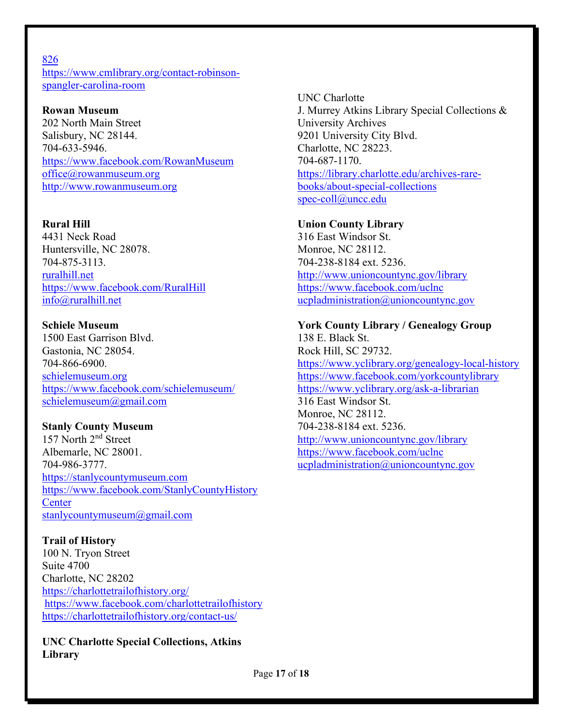### [826](https://www.facebook.com/groups/1037640759956826)

[https://www.cmlibrary.org/contact-robinson](https://www.cmlibrary.org/contact-robinson-spangler-carolina-room)[spangler-carolina-room](https://www.cmlibrary.org/contact-robinson-spangler-carolina-room) 

### **Rowan Museum**

202 North Main Street Salisbury, NC 28144. 704-633-5946. <https://www.facebook.com/RowanMuseum> [office@rowanmuseum.org](mailto:office@rowanmuseum.org) [http://www.rowanmuseum.org](http://www.rowanmuseum.org/)

## **Rural Hill**

4431 Neck Road Huntersville, NC 28078. 704-875-3113. ruralhill.net <https://www.facebook.com/RuralHill> info@ruralhill.net

### **Schiele Museum**

1500 East Garrison Blvd. Gastonia, NC 28054. 704-866-6900. schielemuseum.org <https://www.facebook.com/schielemuseum/> [schielemuseum@gmail.com](mailto:schielemuseum@gmail.com)

# **Stanly County Museum**

157 North 2<sup>nd</sup> Street Albemarle, NC 28001. 704-986-3777. [https://stanlycountymuseum.com](https://stanlycountymuseum.com/)  [https://www.facebook.com/StanlyCountyHistory](https://www.facebook.com/StanlyCountyHistoryCenter) **Center** [stanlycountymuseum@gmail.com](mailto:stanlycountymuseum@gmail.com) 

# **Trail of History**

100 N. Tryon Street Suite 4700 Charlotte, NC 28202 <https://charlottetrailofhistory.org/> <https://www.facebook.com/charlottetrailofhistory> <https://charlottetrailofhistory.org/contact-us/>

**UNC Charlotte Special Collections, Atkins Library**

UNC Charlotte J. Murrey Atkins Library Special Collections & University Archives 9201 University City Blvd. Charlotte, NC 28223. 704-687-1170. [https://library.charlotte.edu/archives-rare](https://library.charlotte.edu/archives-rare-books/about-special-collections)[books/about-special-collections](https://library.charlotte.edu/archives-rare-books/about-special-collections) [spec-coll@uncc.edu](mailto:spec-coll@uncc.edu) 

### **Union County Library**

316 East Windsor St. Monroe, NC 28112. 704-238-8184 ext. 5236. <http://www.unioncountync.gov/library> <https://www.facebook.com/uclnc> ucpladministration@unioncountync.gov

# **York County Library / Genealogy Group**

138 E. Black St. Rock Hill, SC 29732. <https://www.yclibrary.org/genealogy-local-history> <https://www.facebook.com/yorkcountylibrary> <https://www.yclibrary.org/ask-a-librarian> 316 East Windsor St. Monroe, NC 28112. 704-238-8184 ext. 5236. <http://www.unioncountync.gov/library> <https://www.facebook.com/uclnc> ucpladministration@unioncountync.gov